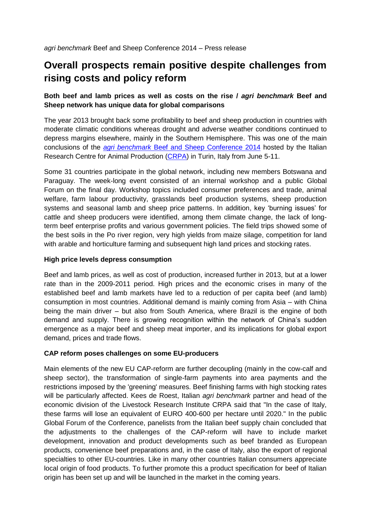# **Overall prospects remain positive despite challenges from rising costs and policy reform**

## **Both beef and lamb prices as well as costs on the rise /** *agri benchmark* **Beef and Sheep network has unique data for global comparisons**

The year 2013 brought back some profitability to beef and sheep production in countries with moderate climatic conditions whereas drought and adverse weather conditions continued to depress margins elsewhere, mainly in the Southern Hemisphere. This was one of the main conclusions of the *agri benchmark* [Beef and Sheep Conference 2014](http://www.agribenchmark.org/beef-and-sheep/conferences/2014-italy.html) hosted by the Italian Research Centre for Animal Production [\(CRPA\)](http://www.crpa.it/nqcontent.cfm?a_id=1109&lang=en) in Turin, Italy from June 5-11.

Some 31 countries participate in the global network, including new members Botswana and Paraguay. The week-long event consisted of an internal workshop and a public [Global](http://markets.eblex.org.uk/markets/markets-news-agri-benchmark.aspx)  [Forum](http://markets.eblex.org.uk/markets/markets-news-agri-benchmark.aspx) on the final day. Workshop topics included consumer preferences and trade, animal welfare, farm labour productivity, grasslands beef production systems, sheep production systems and seasonal lamb and sheep price patterns. In addition, key 'burning issues' for cattle and sheep producers were identified, among them climate change, the lack of longterm beef enterprise profits and various government policies. The field trips showed some of the best soils in the Po river region, very high yields from maize silage, competition for land with arable and horticulture farming and subsequent high land prices and stocking rates.

#### **High price levels depress consumption**

Beef and lamb prices, as well as cost of production, increased further in 2013, but at a lower rate than in the 2009-2011 period. High prices and the economic crises in many of the established beef and lamb markets have led to a reduction of per capita beef (and lamb) consumption in most countries. Additional demand is mainly coming from Asia – with China being the main driver – but also from South America, where Brazil is the engine of both demand and supply. There is growing recognition within the network of China's sudden emergence as a major beef and sheep meat importer, and its implications for global export demand, prices and trade flows.

#### **CAP reform poses challenges on some EU-producers**

Main elements of the new EU CAP-reform are further decoupling (mainly in the cow-calf and sheep sector), the transformation of single-farm payments into area payments and the restrictions imposed by the 'greening' measures. Beef finishing farms with high stocking rates will be particularly affected. Kees de Roest, Italian *agri benchmark* partner and head of the economic division of the Livestock Research Institute CRPA said that "In the case of Italy, these farms will lose an equivalent of EURO 400-600 per hectare until 2020." In the public Global Forum of the Conference, panelists from the Italian beef supply chain concluded that the adjustments to the challenges of the CAP-reform will have to include market development, innovation and product developments such as beef branded as European products, convenience beef preparations and, in the case of Italy, also the export of regional specialties to other EU-countries. Like in many other countries Italian consumers appreciate local origin of food products. To further promote this a product specification for beef of Italian origin has been set up and will be launched in the market in the coming years.